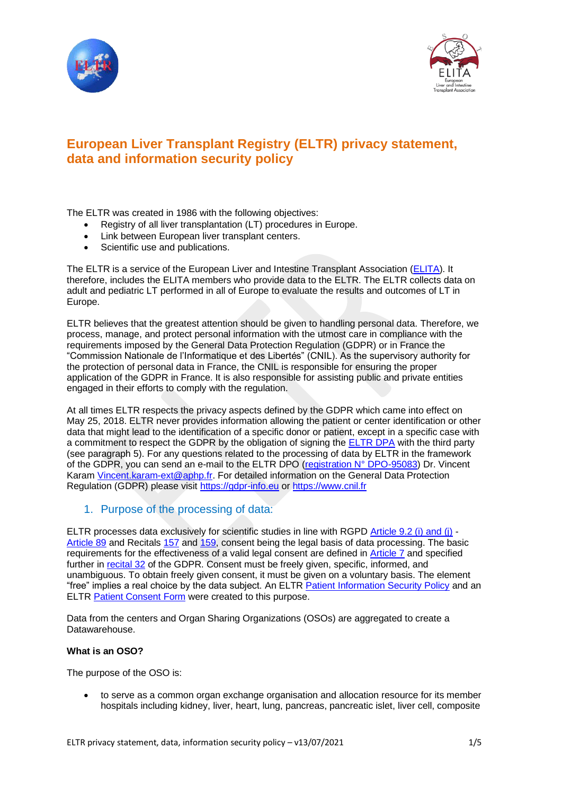



# **European Liver Transplant Registry (ELTR) privacy statement, data and information security policy**

The ELTR was created in 1986 with the following objectives:

- Registry of all liver transplantation (LT) procedures in Europe.
- Link between European liver transplant centers.
- Scientific use and publications.

The ELTR is a service of the European Liver and Intestine Transplant Association [\(ELITA\)](https://esot.org/elita/). It therefore, includes the ELITA members who provide data to the ELTR. The ELTR collects data on adult and pediatric LT performed in all of Europe to evaluate the results and outcomes of LT in Europe.

ELTR believes that the greatest attention should be given to handling personal data. Therefore, we process, manage, and protect personal information with the utmost care in compliance with the requirements imposed by the General Data Protection Regulation (GDPR) or in France the "Commission Nationale de l'Informatique et des Libertés" (CNIL). As the supervisory authority for the protection of personal data in France, the CNIL is responsible for ensuring the proper application of the GDPR in France. It is also responsible for assisting public and private entities engaged in their efforts to comply with the regulation.

At all times ELTR respects the privacy aspects defined by the GDPR which came into effect on May 25, 2018. ELTR never provides information allowing the patient or center identification or other data that might lead to the identification of a specific donor or patient, except in a specific case with a commitment to respect the GDPR by the obligation of signing the [ELTR DPA](http://www.eltr.org/IMG/pdf_Data_Processing_Agreement.pdf) with the third party (see paragraph 5). For any questions related to the processing of data by ELTR in the framework of the GDPR, you can send an e-mail to the ELTR DPO [\(registration N° DPO-95083\)](http://www.eltr.org/IMG/pdf_Designation_DPO_VK.pdf) Dr. Vincent Karam [Vincent.karam-ext@aphp.fr.](mailto:Vincent.karam-ext@aphp.fr) For detailed information on the General Data Protection Regulation (GDPR) please visit [https://gdpr-info.eu](https://gdpr-info.eu/) or [https://www.cnil.fr](https://www.cnil.fr/)

## 1. Purpose of the processing of data:

ELTR processes data exclusively for scientific studies in line with RGPD [Article 9.2 \(i\) and \(j\)](https://www.privacy-regulation.eu/en/9.htm) - [Article 89](https://www.privacy-regulation.eu/en/article-89-safeguards-and-derogations-relating-to-processing-for-archiving-purposes-the-public-interest-scientific-or-hi-GDPR.htm) and Recitals [157](https://www.privacy-regulation.eu/en/r157.htm) and [159,](https://www.privacy-regulation.eu/en/r159.htm) consent being the legal basis of data processing. The basic requirements for the effectiveness of a valid legal consent are defined in [Article 7](https://www.privacy-regulation.eu/en/article-7-conditions-for-consent-GDPR.htm) and specified further in [recital 32](https://www.privacy-regulation.eu/en/r32.htm) of the GDPR. Consent must be freely given, specific, informed, and unambiguous. To obtain freely given consent, it must be given on a voluntary basis. The element "free" implies a real choice by the data subject. An ELTR Patient Information [Security Policy](http://www.eltr.org/IMG/pdf_ELTR_GDPR_data_privacy_notice-2.pdf) and an ELTR [Patient Consent Form](http://www.eltr.org/IMG/pdf_ELTR_informed_consent_form.pdf) were created to this purpose.

Data from the centers and Organ Sharing Organizations (OSOs) are aggregated to create a Datawarehouse.

#### **What is an OSO?**

The purpose of the OSO is:

• to serve as a common organ exchange organisation and allocation resource for its member hospitals including kidney, liver, heart, lung, pancreas, pancreatic islet, liver cell, composite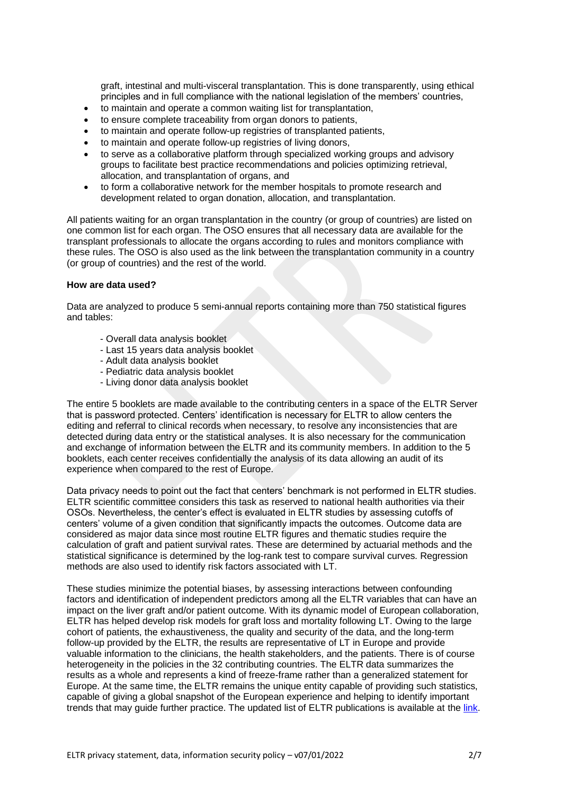graft, intestinal and multi-visceral transplantation. This is done transparently, using ethical principles and in full compliance with the national legislation of the members' countries,

- to maintain and operate a common waiting list for transplantation,
- to ensure complete traceability from organ donors to patients,
- to maintain and operate follow-up registries of transplanted patients,
- to maintain and operate follow-up registries of living donors,
- to serve as a collaborative platform through specialized working groups and advisory groups to facilitate best practice recommendations and policies optimizing retrieval, allocation, and transplantation of organs, and
- to form a collaborative network for the member hospitals to promote research and development related to organ donation, allocation, and transplantation.

All patients waiting for an organ transplantation in the country (or group of countries) are listed on one common list for each organ. The OSO ensures that all necessary data are available for the transplant professionals to allocate the organs according to rules and monitors compliance with these rules. The OSO is also used as the link between the transplantation community in a country (or group of countries) and the rest of the world.

#### **How are data used?**

Data are analyzed to produce 5 semi-annual reports containing more than 750 statistical figures and tables:

- Overall data analysis booklet
- Last 15 years data analysis booklet
- Adult data analysis booklet
- Pediatric data analysis booklet
- Living donor data analysis booklet

The entire 5 booklets are made available to the contributing centers in a space of the ELTR Server that is password protected. Centers' identification is necessary for ELTR to allow centers the editing and referral to clinical records when necessary, to resolve any inconsistencies that are detected during data entry or the statistical analyses. It is also necessary for the communication and exchange of information between the ELTR and its community members. In addition to the 5 booklets, each center receives confidentially the analysis of its data allowing an audit of its experience when compared to the rest of Europe.

Data privacy needs to point out the fact that centers' benchmark is not performed in ELTR studies. ELTR scientific committee considers this task as reserved to national health authorities via their OSOs. Nevertheless, the center's effect is evaluated in ELTR studies by assessing cutoffs of centers' volume of a given condition that significantly impacts the outcomes. Outcome data are considered as major data since most routine ELTR figures and thematic studies require the calculation of graft and patient survival rates. These are determined by actuarial methods and the statistical significance is determined by the log-rank test to compare survival curves. Regression methods are also used to identify risk factors associated with LT.

These studies minimize the potential biases, by assessing interactions between confounding factors and identification of independent predictors among all the ELTR variables that can have an impact on the liver graft and/or patient outcome. With its dynamic model of European collaboration, ELTR has helped develop risk models for graft loss and mortality following LT. Owing to the large cohort of patients, the exhaustiveness, the quality and security of the data, and the long-term follow-up provided by the ELTR, the results are representative of LT in Europe and provide valuable information to the clinicians, the health stakeholders, and the patients. There is of course heterogeneity in the policies in the 32 contributing countries. The ELTR data summarizes the results as a whole and represents a kind of freeze-frame rather than a generalized statement for Europe. At the same time, the ELTR remains the unique entity capable of providing such statistics, capable of giving a global snapshot of the European experience and helping to identify important trends that may guide further practice. The updated list of ELTR publications is available at the [link.](http://www.eltr.org/ELTR-publications.html)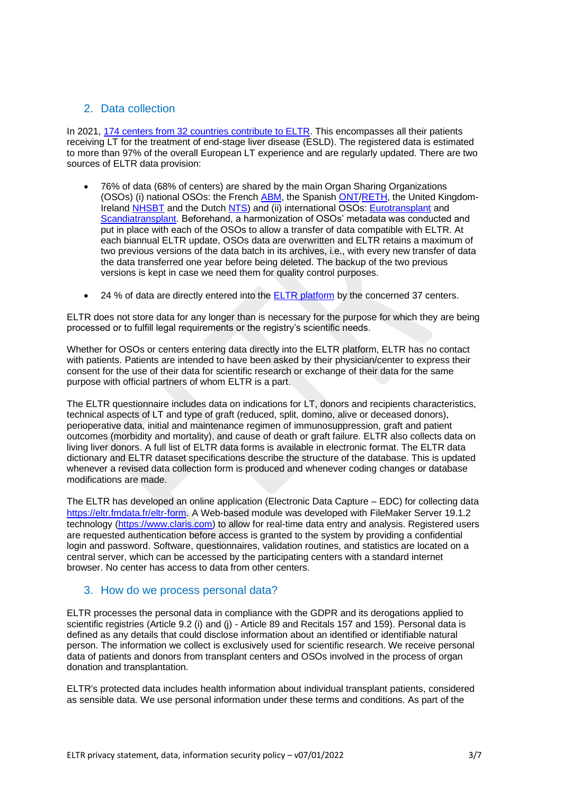# 2. Data collection

In 2021, [174 centers from 32 countries contribute to ELTR.](http://www.eltr.org/spip.php?page=centers-tous) This encompasses all their patients receiving LT for the treatment of end-stage liver disease (ESLD). The registered data is estimated to more than 97% of the overall European LT experience and are regularly updated. There are two sources of ELTR data provision:

- 76% of data (68% of centers) are shared by the main Organ Sharing Organizations (OSOs) (i) national OSOs: the French [ABM,](http://www.agence-biomedecine.fr/) the Spanish [ONT/](http://www.ont.es/)[RETH,](https://www.sethepatico.org/) the United Kingdom-Ireland [NHSBT](http://www.nhsbt.nhs.uk/) and the Dutch [NTS\)](http://www.transplantatiestichting.nl/) and (ii) international OSOs: [Eurotransplant](http://www.eurotransplant.org/) and [Scandiatransplant.](http://www.scandiatransplant.org/) Beforehand, a harmonization of OSOs' metadata was conducted and put in place with each of the OSOs to allow a transfer of data compatible with ELTR. At each biannual ELTR update, OSOs data are overwritten and ELTR retains a maximum of two previous versions of the data batch in its archives, i.e., with every new transfer of data the data transferred one year before being deleted. The backup of the two previous versions is kept in case we need them for quality control purposes.
- 24 % of data are directly entered into the [ELTR platform](https://eltr.fmdata.fr/eltr-form/index.html) by the concerned 37 centers.

ELTR does not store data for any longer than is necessary for the purpose for which they are being processed or to fulfill legal requirements or the registry's scientific needs.

Whether for OSOs or centers entering data directly into the ELTR platform. ELTR has no contact with patients. Patients are intended to have been asked by their physician/center to express their consent for the use of their data for scientific research or exchange of their data for the same purpose with official partners of whom ELTR is a part.

The ELTR questionnaire includes data on indications for LT, donors and recipients characteristics, technical aspects of LT and type of graft (reduced, split, domino, alive or deceased donors), perioperative data, initial and maintenance regimen of immunosuppression, graft and patient outcomes (morbidity and mortality), and cause of death or graft failure. ELTR also collects data on living liver donors. A full list of ELTR data forms is available in electronic format. The ELTR data dictionary and ELTR dataset specifications describe the structure of the database. This is updated whenever a revised data collection form is produced and whenever coding changes or database modifications are made.

The ELTR has developed an online application (Electronic Data Capture – EDC) for collecting data <https://eltr.fmdata.fr/eltr-form>. A Web-based module was developed with FileMaker Server 19.1.2 technology [\(https://www.claris.com\)](https://www.claris.com/) to allow for real-time data entry and analysis. Registered users are requested authentication before access is granted to the system by providing a confidential login and password. Software, questionnaires, validation routines, and statistics are located on a central server, which can be accessed by the participating centers with a standard internet browser. No center has access to data from other centers.

#### 3. How do we process personal data?

ELTR processes the personal data in compliance with the GDPR and its derogations applied to scientific registries (Article 9.2 (i) and (j) - Article 89 and Recitals 157 and 159). Personal data is defined as any details that could disclose information about an identified or identifiable natural person. The information we collect is exclusively used for scientific research. We receive personal data of patients and donors from transplant centers and OSOs involved in the process of organ donation and transplantation.

ELTR's protected data includes health information about individual transplant patients, considered as sensible data. We use personal information under these terms and conditions. As part of the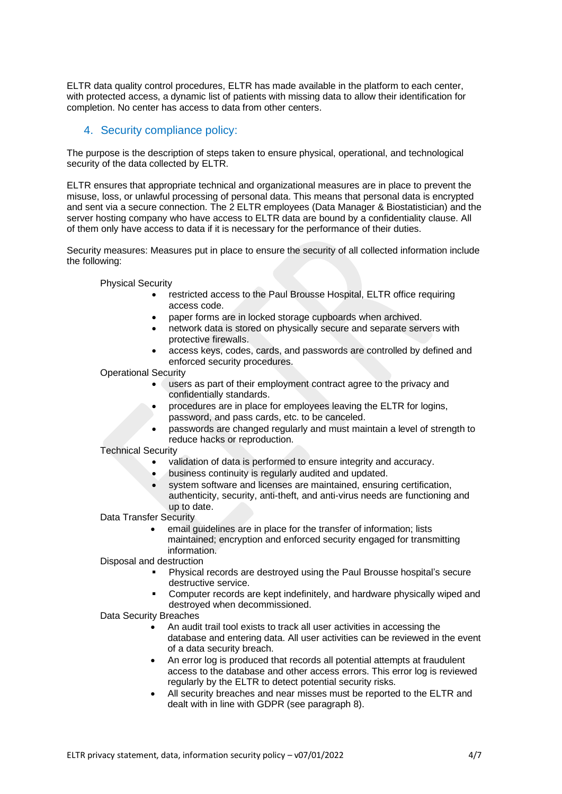ELTR data quality control procedures, ELTR has made available in the platform to each center, with protected access, a dynamic list of patients with missing data to allow their identification for completion. No center has access to data from other centers.

### 4. Security compliance policy:

The purpose is the description of steps taken to ensure physical, operational, and technological security of the data collected by ELTR.

ELTR ensures that appropriate technical and organizational measures are in place to prevent the misuse, loss, or unlawful processing of personal data. This means that personal data is encrypted and sent via a secure connection. The 2 ELTR employees (Data Manager & Biostatistician) and the server hosting company who have access to ELTR data are bound by a confidentiality clause. All of them only have access to data if it is necessary for the performance of their duties.

Security measures: Measures put in place to ensure the security of all collected information include the following:

Physical Security

- restricted access to the Paul Brousse Hospital, ELTR office requiring access code.
- paper forms are in locked storage cupboards when archived.
- network data is stored on physically secure and separate servers with protective firewalls.
- access keys, codes, cards, and passwords are controlled by defined and enforced security procedures.

Operational Security

- users as part of their employment contract agree to the privacy and confidentially standards.
- procedures are in place for employees leaving the ELTR for logins, password, and pass cards, etc. to be canceled.
- passwords are changed regularly and must maintain a level of strength to reduce hacks or reproduction.

Technical Security

- validation of data is performed to ensure integrity and accuracy.
- business continuity is regularly audited and updated.
- system software and licenses are maintained, ensuring certification, authenticity, security, anti-theft, and anti-virus needs are functioning and up to date.

Data Transfer Security

email guidelines are in place for the transfer of information; lists maintained; encryption and enforced security engaged for transmitting information.

Disposal and destruction

- Physical records are destroyed using the Paul Brousse hospital's secure destructive service.
- Computer records are kept indefinitely, and hardware physically wiped and destroyed when decommissioned.

Data Security Breaches

- An audit trail tool exists to track all user activities in accessing the database and entering data. All user activities can be reviewed in the event of a data security breach.
- An error log is produced that records all potential attempts at fraudulent access to the database and other access errors. This error log is reviewed regularly by the ELTR to detect potential security risks.
- All security breaches and near misses must be reported to the ELTR and dealt with in line with GDPR (see paragraph 8).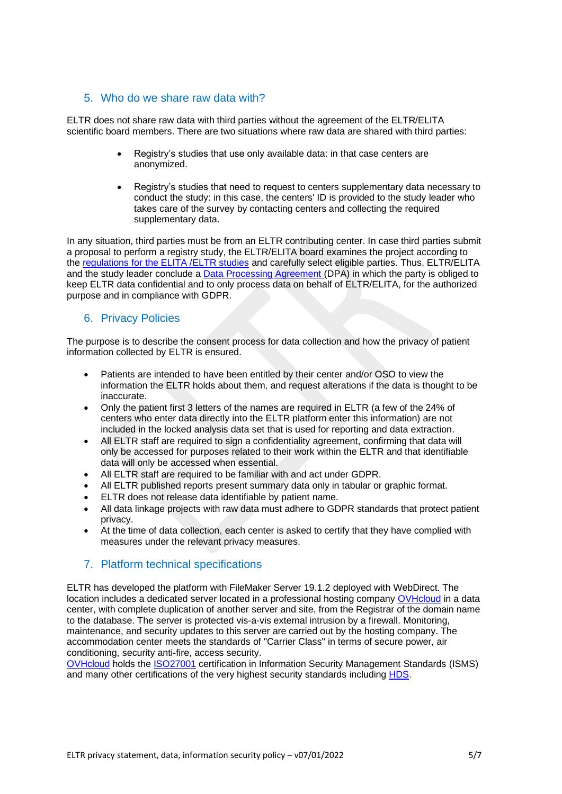## 5. Who do we share raw data with?

ELTR does not share raw data with third parties without the agreement of the ELTR/ELITA scientific board members. There are two situations where raw data are shared with third parties:

- Registry's studies that use only available data: in that case centers are anonymized.
- Registry's studies that need to request to centers supplementary data necessary to conduct the study: in this case, the centers' ID is provided to the study leader who takes care of the survey by contacting centers and collecting the required supplementary data.

In any situation, third parties must be from an ELTR contributing center. In case third parties submit a proposal to perform a registry study, the ELTR/ELITA board examines the project according to the [regulations for the ELITA /ELTR studies](http://www.eltr.org/ELTR-publications-rules.html) and carefully select eligible parties. Thus, ELTR/ELITA and the study leader conclude a [Data Processing Agreement \(](http://www.eltr.org/IMG/pdf_Data_Processing_Agreement.pdf)DPA) in which the party is obliged to keep ELTR data confidential and to only process data on behalf of ELTR/ELITA, for the authorized purpose and in compliance with GDPR.

#### 6. Privacy Policies

The purpose is to describe the consent process for data collection and how the privacy of patient information collected by ELTR is ensured.

- Patients are intended to have been entitled by their center and/or OSO to view the information the ELTR holds about them, and request alterations if the data is thought to be inaccurate.
- Only the patient first 3 letters of the names are required in ELTR (a few of the 24% of centers who enter data directly into the ELTR platform enter this information) are not included in the locked analysis data set that is used for reporting and data extraction.
- All ELTR staff are required to sign a confidentiality agreement, confirming that data will only be accessed for purposes related to their work within the ELTR and that identifiable data will only be accessed when essential.
- All ELTR staff are required to be familiar with and act under GDPR.
- All ELTR published reports present summary data only in tabular or graphic format.
- ELTR does not release data identifiable by patient name.
- All data linkage projects with raw data must adhere to GDPR standards that protect patient privacy.
- At the time of data collection, each center is asked to certify that they have complied with measures under the relevant privacy measures.

## 7. Platform technical specifications

ELTR has developed the platform with FileMaker Server 19.1.2 deployed with WebDirect. The location includes a dedicated server located in a professional hosting company [OVHcloud](https://www.ovh.com/fr) in a data center, with complete duplication of another server and site, from the Registrar of the domain name to the database. The server is protected vis-a-vis external intrusion by a firewall. Monitoring, maintenance, and security updates to this server are carried out by the hosting company. The accommodation center meets the standards of "Carrier Class" in terms of secure power, air conditioning, security anti-fire, access security.

[OVHcloud](https://www.ovh.com/fr) holds the [ISO27001](http://www.eltr.org/IMG/pdf_ISO27001_certificate.pdf) certification in Information Security Management Standards (ISMS) and many other certifications of the very highest security standards including [HDS.](http://www.eltr.org/IMG/pdf_HDS_certificate.pdf)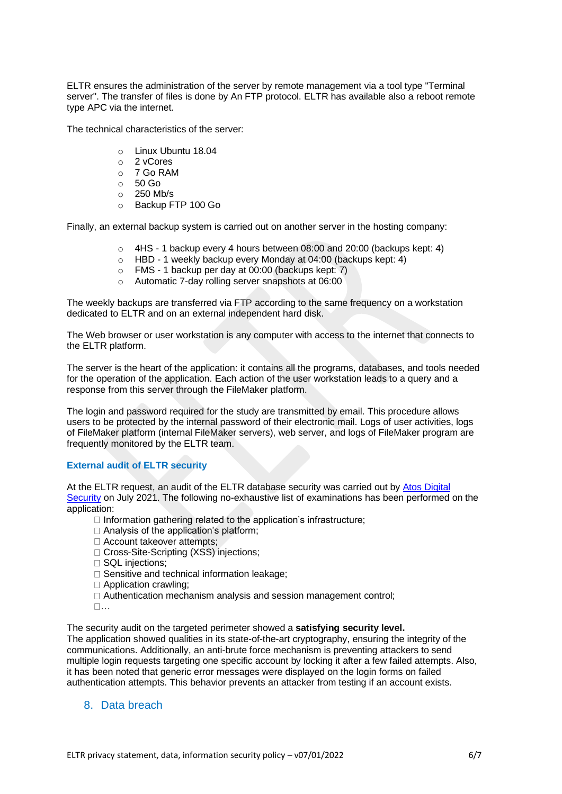ELTR ensures the administration of the server by remote management via a tool type "Terminal server". The transfer of files is done by An FTP protocol. ELTR has available also a reboot remote type APC via the internet.

The technical characteristics of the server:

- o Linux Ubuntu 18.04
- o 2 vCores
- o 7 Go RAM
- $\circ$  50 Go
- $\circ$  250 Mb/s
- o Backup FTP 100 Go

Finally, an external backup system is carried out on another server in the hosting company:

- $\circ$  4HS 1 backup every 4 hours between 08:00 and 20:00 (backups kept: 4)
- o HBD 1 weekly backup every Monday at 04:00 (backups kept: 4)
- o FMS 1 backup per day at 00:00 (backups kept: 7)
- o Automatic 7-day rolling server snapshots at 06:00

The weekly backups are transferred via FTP according to the same frequency on a workstation dedicated to ELTR and on an external independent hard disk.

The Web browser or user workstation is any computer with access to the internet that connects to the ELTR platform.

The server is the heart of the application: it contains all the programs, databases, and tools needed for the operation of the application. Each action of the user workstation leads to a query and a response from this server through the FileMaker platform.

The login and password required for the study are transmitted by email. This procedure allows users to be protected by the internal password of their electronic mail. Logs of user activities, logs of FileMaker platform (internal FileMaker servers), web server, and logs of FileMaker program are frequently monitored by the ELTR team.

#### **External audit of ELTR security**

At the ELTR request, an audit of the ELTR database security was carried out by [Atos Digital](https://atos.net/en/)  [Security](https://atos.net/en/) on July 2021. The following no-exhaustive list of examinations has been performed on the application:

- $\Box$  Information gathering related to the application's infrastructure;
- □ Analysis of the application's platform;
- □ Account takeover attempts;
- □ Cross-Site-Scripting (XSS) injections;
- □ SQL injections;
- $\Box$  Sensitive and technical information leakage:
- □ Application crawling:
- Authentication mechanism analysis and session management control;
- $\Pi$ ...

The security audit on the targeted perimeter showed a **satisfying security level.**

The application showed qualities in its state-of-the-art cryptography, ensuring the integrity of the communications. Additionally, an anti-brute force mechanism is preventing attackers to send multiple login requests targeting one specific account by locking it after a few failed attempts. Also, it has been noted that generic error messages were displayed on the login forms on failed authentication attempts. This behavior prevents an attacker from testing if an account exists.

#### 8. Data breach